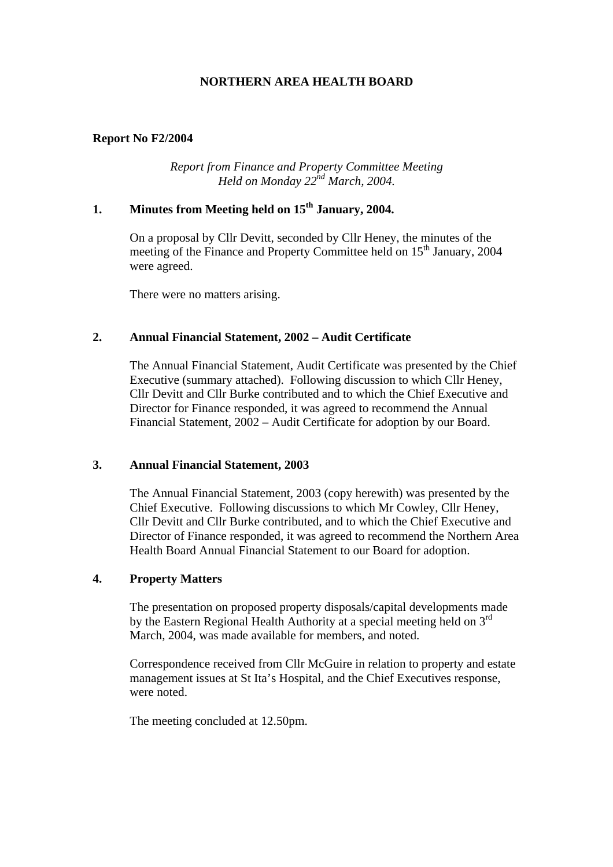# **NORTHERN AREA HEALTH BOARD**

### **Report No F2/2004**

*Report from Finance and Property Committee Meeting Held on Monday 22nd March, 2004.* 

# **1. Minutes from Meeting held on 15th January, 2004.**

 On a proposal by Cllr Devitt, seconded by Cllr Heney, the minutes of the meeting of the Finance and Property Committee held on 15<sup>th</sup> January, 2004 were agreed.

There were no matters arising.

### **2. Annual Financial Statement, 2002 – Audit Certificate**

The Annual Financial Statement, Audit Certificate was presented by the Chief Executive (summary attached). Following discussion to which Cllr Heney, Cllr Devitt and Cllr Burke contributed and to which the Chief Executive and Director for Finance responded, it was agreed to recommend the Annual Financial Statement, 2002 – Audit Certificate for adoption by our Board.

#### **3. Annual Financial Statement, 2003**

The Annual Financial Statement, 2003 (copy herewith) was presented by the Chief Executive. Following discussions to which Mr Cowley, Cllr Heney, Cllr Devitt and Cllr Burke contributed, and to which the Chief Executive and Director of Finance responded, it was agreed to recommend the Northern Area Health Board Annual Financial Statement to our Board for adoption.

#### **4. Property Matters**

The presentation on proposed property disposals/capital developments made by the Eastern Regional Health Authority at a special meeting held on 3<sup>rd</sup> March, 2004, was made available for members, and noted.

 Correspondence received from Cllr McGuire in relation to property and estate management issues at St Ita's Hospital, and the Chief Executives response, were noted.

The meeting concluded at 12.50pm.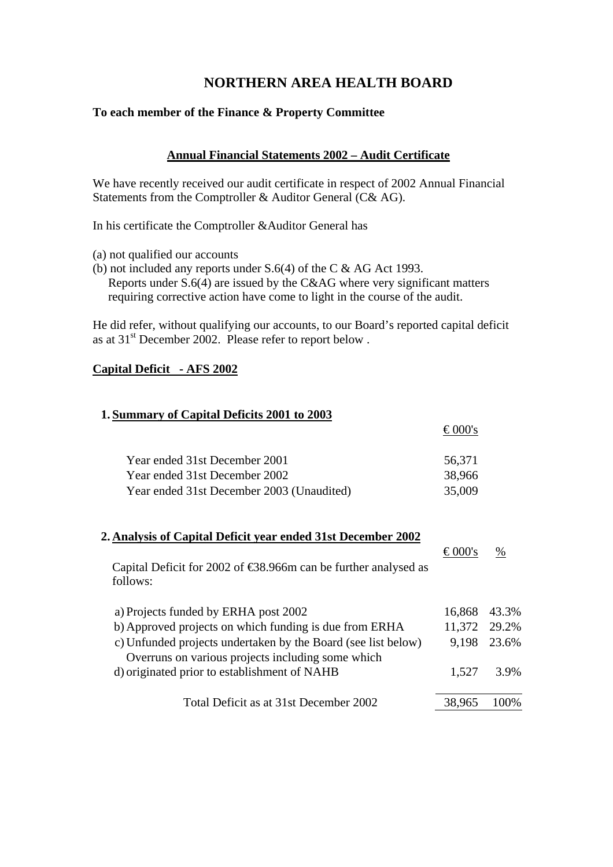# **NORTHERN AREA HEALTH BOARD**

## **To each member of the Finance & Property Committee**

# **Annual Financial Statements 2002 – Audit Certificate**

We have recently received our audit certificate in respect of 2002 Annual Financial Statements from the Comptroller & Auditor General (C& AG).

In his certificate the Comptroller &Auditor General has

- (a) not qualified our accounts
- (b) not included any reports under S.6(4) of the C & AG Act 1993. Reports under S.6(4) are issued by the C&AG where very significant matters requiring corrective action have come to light in the course of the audit.

He did refer, without qualifying our accounts, to our Board's reported capital deficit as at 31<sup>st</sup> December 2002. Please refer to report below.

 $0.001$ 

## **Capital Deficit - AFS 2002**

### **1. Summary of Capital Deficits 2001 to 2003**

|                                                                                                                                                                 | €UUU S       |       |
|-----------------------------------------------------------------------------------------------------------------------------------------------------------------|--------------|-------|
| Year ended 31st December 2001                                                                                                                                   | 56,371       |       |
| Year ended 31st December 2002                                                                                                                                   | 38,966       |       |
| Year ended 31st December 2003 (Unaudited)                                                                                                                       | 35,009       |       |
| 2. Analysis of Capital Deficit year ended 31st December 2002<br>Capital Deficit for 2002 of $\text{\textsterling}8.966m$ can be further analysed as<br>follows: | €000's       | %     |
| a) Projects funded by ERHA post 2002                                                                                                                            | 16,868       | 43.3% |
| b) Approved projects on which funding is due from ERHA                                                                                                          | 11,372 29.2% |       |
| c) Unfunded projects undertaken by the Board (see list below)                                                                                                   | 9,198        | 23.6% |
| Overruns on various projects including some which<br>d) originated prior to establishment of NAHB                                                               | 1,527        | 3.9%  |
| Total Deficit as at 31st December 2002                                                                                                                          | 38,965       | 100%  |